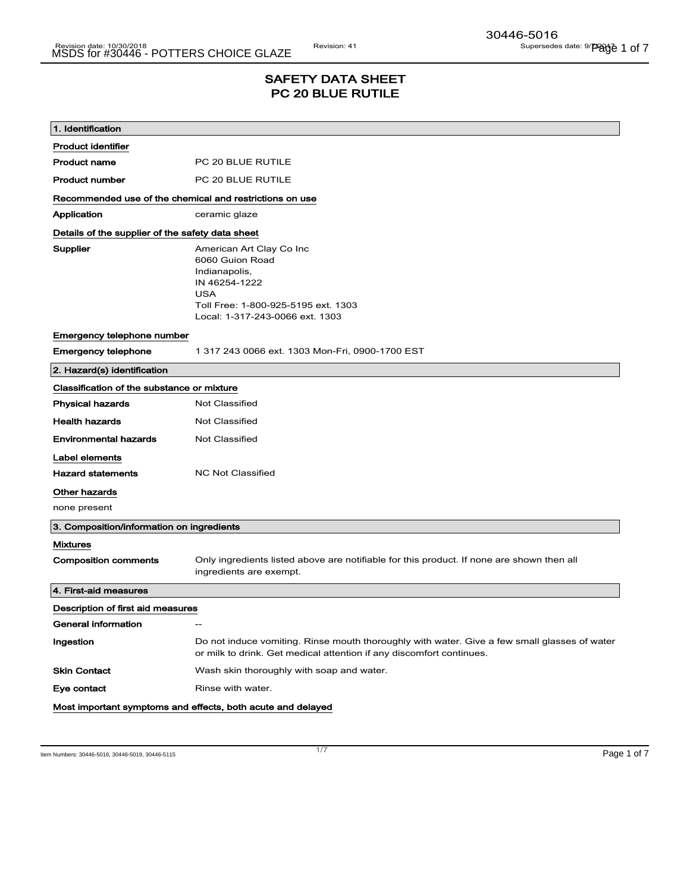## SAFETY DATA SHEET PC 20 BLUE RUTILE

| 1. Identification                                       |                                                                                                                                                                       |  |  |
|---------------------------------------------------------|-----------------------------------------------------------------------------------------------------------------------------------------------------------------------|--|--|
| <b>Product identifier</b>                               |                                                                                                                                                                       |  |  |
| <b>Product name</b>                                     | PC 20 BLUE RUTILE                                                                                                                                                     |  |  |
| <b>Product number</b>                                   | PC 20 BLUE RUTILE                                                                                                                                                     |  |  |
| Recommended use of the chemical and restrictions on use |                                                                                                                                                                       |  |  |
| Application                                             | ceramic glaze                                                                                                                                                         |  |  |
| Details of the supplier of the safety data sheet        |                                                                                                                                                                       |  |  |
| Supplier                                                | American Art Clay Co Inc<br>6060 Guion Road<br>Indianapolis,<br>IN 46254-1222<br><b>USA</b><br>Toll Free: 1-800-925-5195 ext. 1303<br>Local: 1-317-243-0066 ext. 1303 |  |  |
| Emergency telephone number                              |                                                                                                                                                                       |  |  |
| <b>Emergency telephone</b>                              | 1 317 243 0066 ext. 1303 Mon-Fri, 0900-1700 EST                                                                                                                       |  |  |
| 2. Hazard(s) identification                             |                                                                                                                                                                       |  |  |
| Classification of the substance or mixture              |                                                                                                                                                                       |  |  |
| <b>Physical hazards</b>                                 | <b>Not Classified</b>                                                                                                                                                 |  |  |
| <b>Health hazards</b>                                   | <b>Not Classified</b>                                                                                                                                                 |  |  |
| <b>Environmental hazards</b>                            | <b>Not Classified</b>                                                                                                                                                 |  |  |
| Label elements                                          |                                                                                                                                                                       |  |  |
| <b>Hazard statements</b>                                | <b>NC Not Classified</b>                                                                                                                                              |  |  |
| <b>Other hazards</b>                                    |                                                                                                                                                                       |  |  |
| none present                                            |                                                                                                                                                                       |  |  |
| 3. Composition/information on ingredients               |                                                                                                                                                                       |  |  |
| <b>Mixtures</b>                                         |                                                                                                                                                                       |  |  |
| <b>Composition comments</b>                             | Only ingredients listed above are notifiable for this product. If none are shown then all<br>ingredients are exempt.                                                  |  |  |
| 4. First-aid measures                                   |                                                                                                                                                                       |  |  |
| Description of first aid measures                       |                                                                                                                                                                       |  |  |
| General information                                     |                                                                                                                                                                       |  |  |
| Ingestion                                               | Do not induce vomiting. Rinse mouth thoroughly with water. Give a few small glasses of water<br>or milk to drink. Get medical attention if any discomfort continues.  |  |  |
| <b>Skin Contact</b>                                     | Wash skin thoroughly with soap and water.                                                                                                                             |  |  |
| Eye contact                                             | Rinse with water.                                                                                                                                                     |  |  |
|                                                         | Most important symptoms and effects, both acute and delayed                                                                                                           |  |  |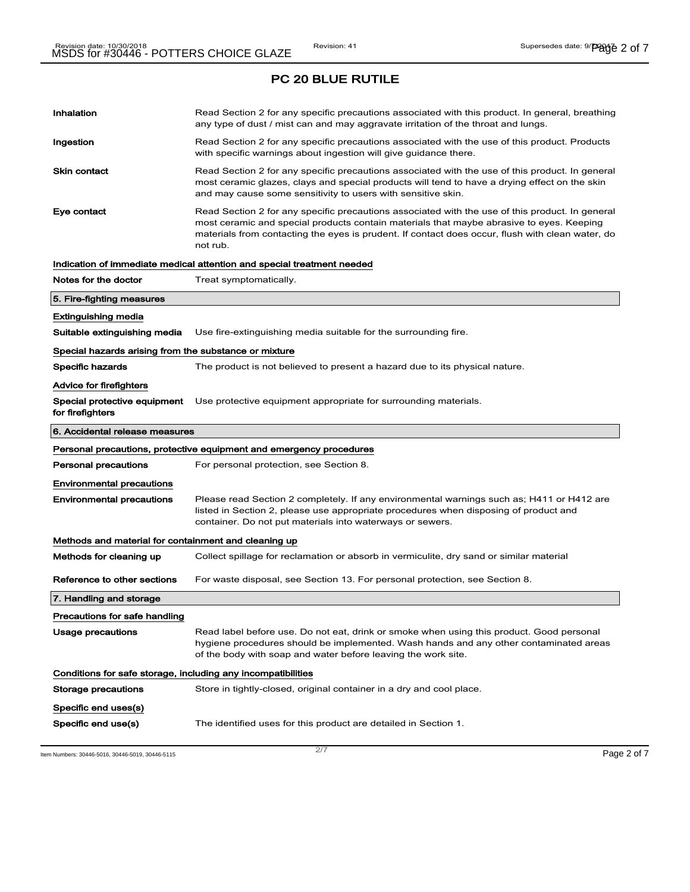# Inhalation **Read Section 2 for any specific precautions associated with this product. In general, breathing** any type of dust / mist can and may aggravate irritation of the throat and lungs. Ingestion **Read Section 2 for any specific precautions associated with the use of this product. Products** with specific warnings about ingestion will give guidance there. Skin contact **Read Section 2 for any specific precautions associated with the use of this product. In general** most ceramic glazes, clays and special products will tend to have a drying effect on the skin and may cause some sensitivity to users with sensitive skin. Eye contact **Read Section 2 for any specific precautions associated with the use of this product. In general** most ceramic and special products contain materials that maybe abrasive to eyes. Keeping materials from contacting the eyes is prudent. If contact does occur, flush with clean water, do not rub. Indication of immediate medical attention and special treatment needed Notes for the doctor Treat symptomatically. 5. Fire-fighting measures Extinguishing media Suitable extinguishing media Use fire-extinguishing media suitable for the surrounding fire. Special hazards arising from the substance or mixture Specific hazards The product is not believed to present a hazard due to its physical nature. Advice for firefighters Special protective equipment for firefighters Use protective equipment appropriate for surrounding materials. 6. Accidental release measures Personal precautions, protective equipment and emergency procedures Personal precautions For personal protection, see Section 8. Environmental precautions Environmental precautions Please read Section 2 completely. If any environmental warnings such as; H411 or H412 are listed in Section 2, please use appropriate procedures when disposing of product and container. Do not put materials into waterways or sewers. Methods and material for containment and cleaning up Methods for cleaning up Collect spillage for reclamation or absorb in vermiculite, dry sand or similar material Reference to other sections For waste disposal, see Section 13. For personal protection, see Section 8. 7. Handling and storage Precautions for safe handling Usage precautions **Read label before use. Do not eat, drink or smoke when using this product. Good personal** hygiene procedures should be implemented. Wash hands and any other contaminated areas of the body with soap and water before leaving the work site. Conditions for safe storage, including any incompatibilities Storage precautions Store in tightly-closed, original container in a dry and cool place. Specific end uses(s) Specific end use(s) The identified uses for this product are detailed in Section 1.

Item Numbers: 30446-5016, 30446-5019, 30446-5115 Page 2 of 7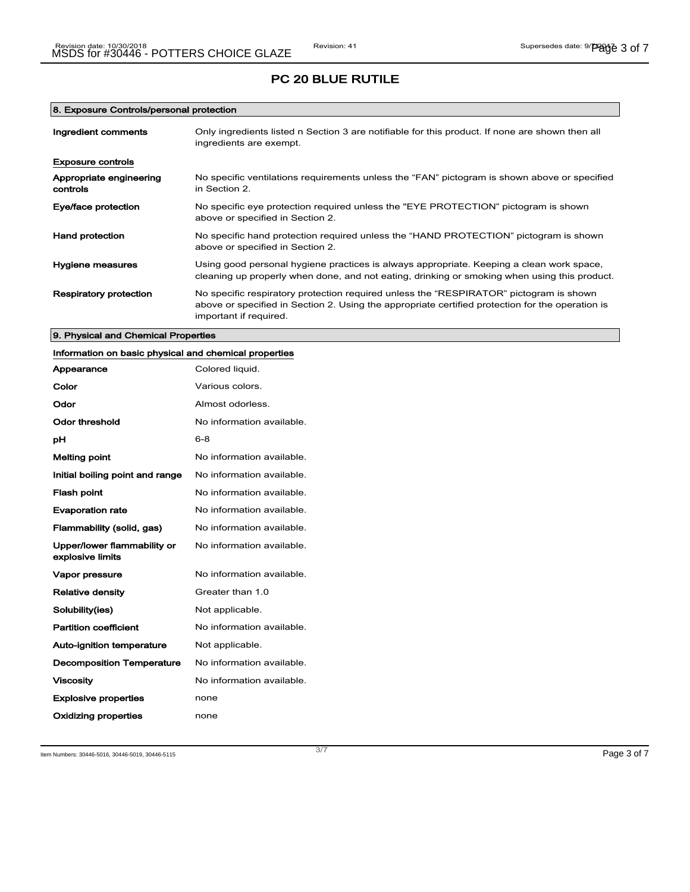#### 8. Exposure Controls/personal protection

| Ingredient comments                 | Only ingredients listed n Section 3 are notifiable for this product. If none are shown then all<br>ingredients are exempt.                                                                                           |
|-------------------------------------|----------------------------------------------------------------------------------------------------------------------------------------------------------------------------------------------------------------------|
| <b>Exposure controls</b>            |                                                                                                                                                                                                                      |
| Appropriate engineering<br>controls | No specific ventilations requirements unless the "FAN" pictogram is shown above or specified<br>in Section 2.                                                                                                        |
| Eye/face protection                 | No specific eye protection required unless the "EYE PROTECTION" pictogram is shown<br>above or specified in Section 2.                                                                                               |
| <b>Hand protection</b>              | No specific hand protection required unless the "HAND PROTECTION" pictogram is shown<br>above or specified in Section 2.                                                                                             |
| Hygiene measures                    | Using good personal hygiene practices is always appropriate. Keeping a clean work space,<br>cleaning up properly when done, and not eating, drinking or smoking when using this product.                             |
| <b>Respiratory protection</b>       | No specific respiratory protection required unless the "RESPIRATOR" pictogram is shown<br>above or specified in Section 2. Using the appropriate certified protection for the operation is<br>important if required. |

# 9. Physical and Chemical Properties Information on basic physical and chemical properties Appearance Colored liquid. Color **Color** Various colors. Odor Almost odorless. Odor threshold Mo information available. **pH** 6-8 Melting point **Melting point** No information available. Initial boiling point and range No information available. Flash point **No information available.** Evaporation rate **No information available.** Flammability (solid, gas) No information available. Upper/lower flammability or explosive limits No information available. Vapor pressure **No information available**. Relative density Greater than 1.0 Solubility(ies) Mot applicable. Partition coefficient **No information available**.

| Solubility(ies)                  | Not applicable.           |
|----------------------------------|---------------------------|
| <b>Partition coefficient</b>     | No information available. |
| Auto-ignition temperature        | Not applicable.           |
| <b>Decomposition Temperature</b> | No information available. |
| Viscositv                        | No information available. |
| <b>Explosive properties</b>      | none                      |
| Oxidizing properties             | none                      |

Item Numbers: 30446-5016, 30446-5019, 30446-5115 Page 3 of 7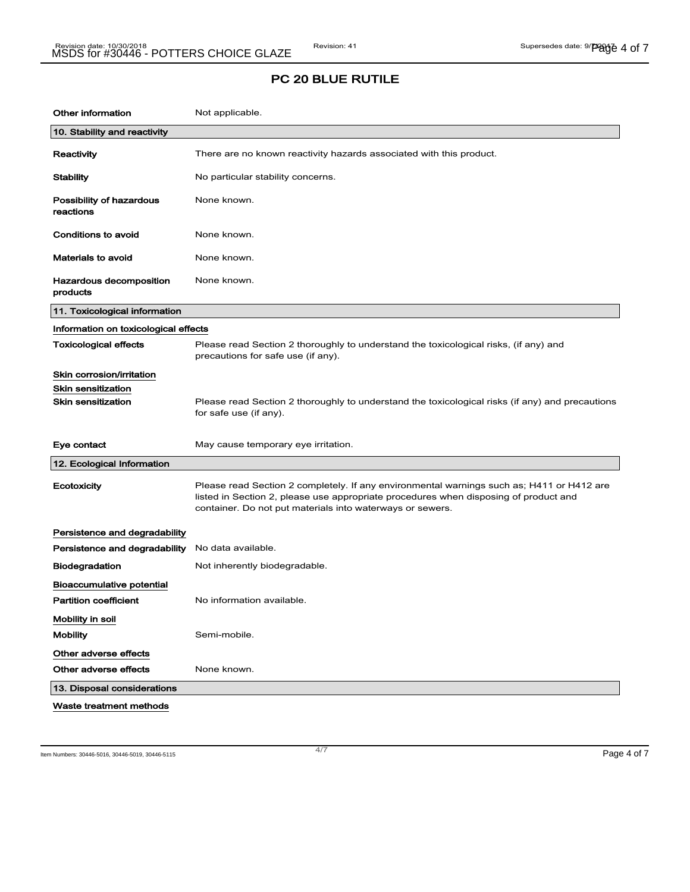| <b>Other information</b>              | Not applicable.                                                                                                                                                                                                                                |
|---------------------------------------|------------------------------------------------------------------------------------------------------------------------------------------------------------------------------------------------------------------------------------------------|
| 10. Stability and reactivity          |                                                                                                                                                                                                                                                |
| Reactivity                            | There are no known reactivity hazards associated with this product.                                                                                                                                                                            |
| <b>Stability</b>                      | No particular stability concerns.                                                                                                                                                                                                              |
| Possibility of hazardous<br>reactions | None known.                                                                                                                                                                                                                                    |
| <b>Conditions to avoid</b>            | None known.                                                                                                                                                                                                                                    |
| <b>Materials to avoid</b>             | None known.                                                                                                                                                                                                                                    |
| Hazardous decomposition<br>products   | None known.                                                                                                                                                                                                                                    |
| 11. Toxicological information         |                                                                                                                                                                                                                                                |
| Information on toxicological effects  |                                                                                                                                                                                                                                                |
| <b>Toxicological effects</b>          | Please read Section 2 thoroughly to understand the toxicological risks, (if any) and<br>precautions for safe use (if any).                                                                                                                     |
| Skin corrosion/irritation             |                                                                                                                                                                                                                                                |
| <b>Skin sensitization</b>             |                                                                                                                                                                                                                                                |
| <b>Skin sensitization</b>             | Please read Section 2 thoroughly to understand the toxicological risks (if any) and precautions<br>for safe use (if any).                                                                                                                      |
| Eye contact                           | May cause temporary eye irritation.                                                                                                                                                                                                            |
| 12. Ecological Information            |                                                                                                                                                                                                                                                |
| Ecotoxicity                           | Please read Section 2 completely. If any environmental warnings such as; H411 or H412 are<br>listed in Section 2, please use appropriate procedures when disposing of product and<br>container. Do not put materials into waterways or sewers. |
| Persistence and degradability         |                                                                                                                                                                                                                                                |
| Persistence and degradability         | No data available.                                                                                                                                                                                                                             |
| <b>Biodegradation</b>                 | Not inherently biodegradable.                                                                                                                                                                                                                  |
| Bioaccumulative potential             |                                                                                                                                                                                                                                                |
| <b>Partition coefficient</b>          | No information available.                                                                                                                                                                                                                      |
| Mobility in soil                      |                                                                                                                                                                                                                                                |
| <b>Mobility</b>                       | Semi-mobile.                                                                                                                                                                                                                                   |
| Other adverse effects                 |                                                                                                                                                                                                                                                |
| Other adverse effects                 | None known.                                                                                                                                                                                                                                    |
| 13. Disposal considerations           |                                                                                                                                                                                                                                                |
| Waste treatment methods               |                                                                                                                                                                                                                                                |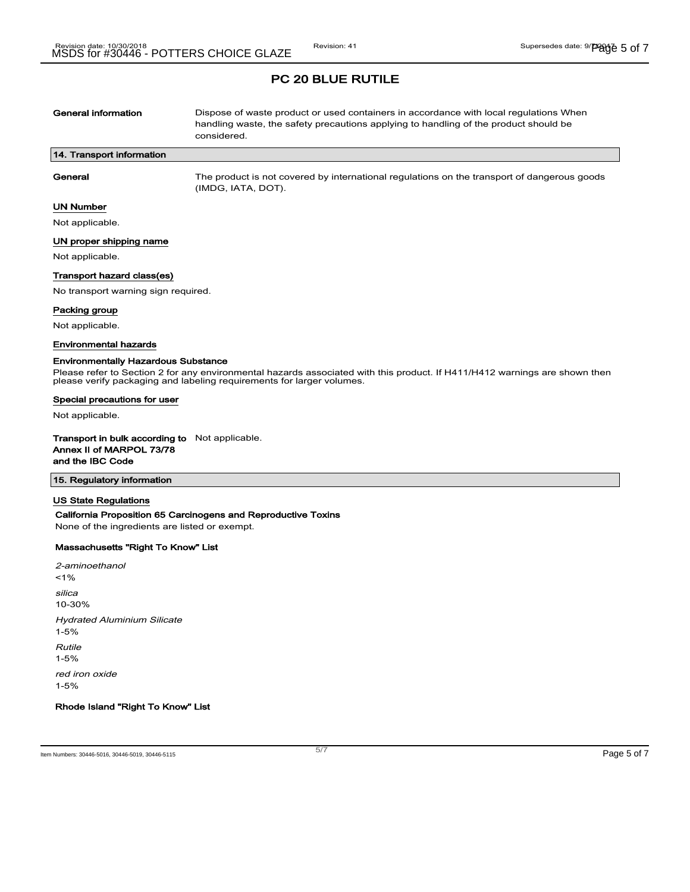| General information        | Dispose of waste product or used containers in accordance with local regulations When<br>handling waste, the safety precautions applying to handling of the product should be<br>considered. |
|----------------------------|----------------------------------------------------------------------------------------------------------------------------------------------------------------------------------------------|
| 14. Transport information  |                                                                                                                                                                                              |
| General                    | The product is not covered by international regulations on the transport of dangerous goods<br>(IMDG, IATA, DOT).                                                                            |
| <b>UN Number</b>           |                                                                                                                                                                                              |
| Not applicable.            |                                                                                                                                                                                              |
| UN proper shipping name    |                                                                                                                                                                                              |
| Not applicable.            |                                                                                                                                                                                              |
| Transport hazard class(es) |                                                                                                                                                                                              |

No transport warning sign required.

## Packing group

Not applicable.

#### Environmental hazards

#### Environmentally Hazardous Substance

Please refer to Section 2 for any environmental hazards associated with this product. If H411/H412 warnings are shown then please verify packaging and labeling requirements for larger volumes.

#### Special precautions for user

Not applicable.

Transport in bulk according to Not applicable. Annex II of MARPOL 73/78 and the IBC Code

### 15. Regulatory information

## US State Regulations

#### California Proposition 65 Carcinogens and Reproductive Toxins

None of the ingredients are listed or exempt.

#### Massachusetts "Right To Know" List

2-aminoethanol  $1%$ silica 10-30% Hydrated Aluminium Silicate 1-5% Rutile 1-5% red iron oxide 1-5%

Rhode Island "Right To Know" List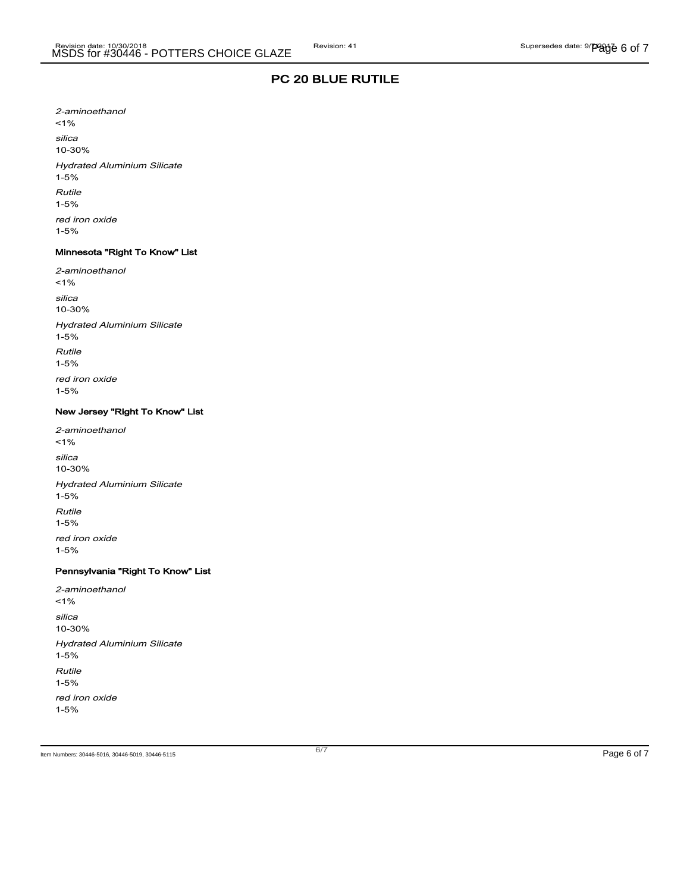2-aminoethanol  $1%$ silica 10-30% Hydrated Aluminium Silicate 1-5% Rutile 1-5% red iron oxide 1-5%

#### Minnesota "Right To Know" List

2-aminoethanol <1% silica 10-30% Hydrated Aluminium Silicate 1-5% Rutile 1-5% red iron oxide 1-5%

## New Jersey "Right To Know" List

2-aminoethanol  $1%$ silica 10-30% Hydrated Aluminium Silicate 1-5% Rutile 1-5% red iron oxide 1-5%

# Pennsylvania "Right To Know" List

2-aminoethanol <1% silica 10-30% Hydrated Aluminium Silicate 1-5% Rutile 1-5% red iron oxide 1-5%